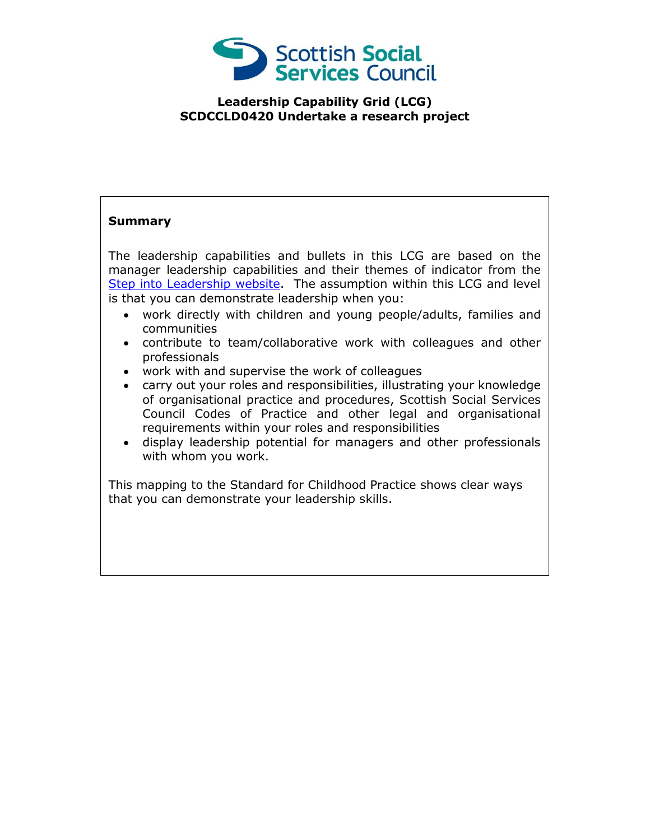

## **Leadership Capability Grid (LCG) SCDCCLD0420 Undertake a research project**

## **Summary**

The leadership capabilities and bullets in this LCG are based on the manager leadership capabilities and their themes of indicator from the [Step into Leadership website.](http://www.stepintoleadership.info/) The assumption within this LCG and level is that you can demonstrate leadership when you:

- work directly with children and young people/adults, families and communities
- contribute to team/collaborative work with colleagues and other professionals
- work with and supervise the work of colleagues
- carry out your roles and responsibilities, illustrating your knowledge of organisational practice and procedures, Scottish Social Services Council Codes of Practice and other legal and organisational requirements within your roles and responsibilities
- display leadership potential for managers and other professionals with whom you work.

This mapping to the Standard for Childhood Practice shows clear ways that you can demonstrate your leadership skills.